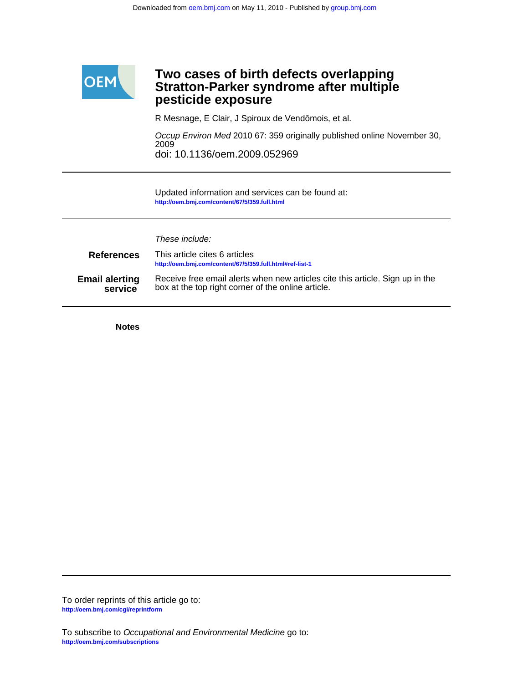

# **pesticide exposure Stratton-Parker syndrome after multiple Two cases of birth defects overlapping**

R Mesnage, E Clair, J Spiroux de Vendômois, et al.

doi: 10.1136/oem.2009.052969 2009 Occup Environ Med 2010 67: 359 originally published online November 30,

**<http://oem.bmj.com/content/67/5/359.full.html>** Updated information and services can be found at:

These include:

| <b>References</b>     | This article cites 6 articles<br>http://oem.bmj.com/content/67/5/359.full.html#ref-list-1 |
|-----------------------|-------------------------------------------------------------------------------------------|
| <b>Email alerting</b> | Receive free email alerts when new articles cite this article. Sign up in the             |
| service               | box at the top right corner of the online article.                                        |

**Notes**

**<http://oem.bmj.com/cgi/reprintform>** To order reprints of this article go to: